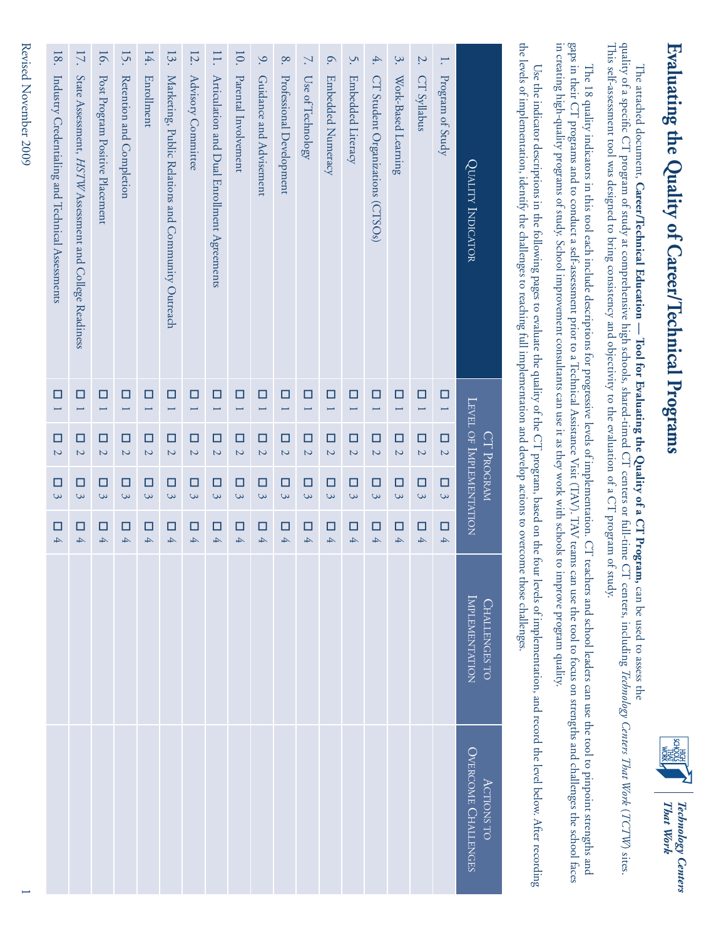### Evaluating the Quality of Career/Technical Programs **Evaluating the Quality of Career/Technical Programs**



#### The attached document, Career/Technical Education - Tool for Evaluating the Quality of a CT Program, can be used to assess the The attached document, **Career/Technical Education — Tool for Evaluating the Quality of a CT Program,** can be used to assess the

quality of a specific CT program of study at comprehensive high schools, shared-timed CT centers or full-time CT centers, including Technology Centers That Work (TCTW) sites. This self-assessment tool was designed to bring consistency and objectivity to the evaluation of a CT program of study. This self-assessment tool was designed to bring consistency and objectivity to the evaluation of a CT program of study. quality of a specific CT program of study at comprehensive high schools, shared-timed CT centers or full-time CT centers, including *Technology Centers That Work TCTW*) sites.

gaps in their CT programs and to conduct a self-assessment prior to a Technical Assistance Visit (TAV). TAV teams can use the tool to focus on strengths and challenges the school faces in creating high-quality programs of study. School improvement consultants can use it as they work with schools to improve program quality. in creating high-quality programs of study. School improvement consultants can use it as they work with schools to improve program quality. gaps in their CT programs and to conduct a self-assessment prior to a Technical Assistance Visit (TAV). TAV teams can use the tool to focus on strengths and challenges the school faces The 18 quality indicators in this tool each include descriptions for progressive levels of implementation. CT teachers and school leaders can use the tool to pinpoint strengths and The 18 quality indicators in this tool each include descriptions for progressive levels of implementation. CT teachers and school leaders can use the tool to pinpoint strengths and

the levels of implementation, identify the challenges to reaching full implementation and develop actions to overcome those challenges. the levels of implementation, identify the challenges to reaching full implementation and develop actions to overcome those challenges. Use the indicator descriptions in the following pages to evaluate the quality of the CT program, based on the four levels of implementation, and record the level below. After recording Use the indicator descriptions in the following pages to evaluate the quality of the CT program, based on the four levels of implementation, and record the level below. After recording

| 18.                                              | 17.                                                     | 16.                             | 15.                                | 14.                 | 13.                                                | 12.                           | 11.                                         | 10.                                | $\mathcal{S}$              | $\infty$                 | <sup>N</sup> .                     | $\circ$                       | S.                       | $\overline{4}$ .                   | $\dot{\mathcal{S}}$                | $\mathcal{L}$           | Η.                                 |                                              |
|--------------------------------------------------|---------------------------------------------------------|---------------------------------|------------------------------------|---------------------|----------------------------------------------------|-------------------------------|---------------------------------------------|------------------------------------|----------------------------|--------------------------|------------------------------------|-------------------------------|--------------------------|------------------------------------|------------------------------------|-------------------------|------------------------------------|----------------------------------------------|
| Industry Credentialing and Technical Assessments | State Assessment, HSTW Assessment and College Readiness | Post Program Positive Placement | Retention and Completion           | Enrollment          | Marketing, Public Relations and Community Outreach | Advisory Committee            | Articulation and Dual Enrollment Agreements | Parental Involvement               | Guidance and Advisement    | Professional Development | Use of Technology                  | Embedded Numeracy             | Embedded Literacy        | CT Student Organizations (CTSOs)   | Work-Based Learning                | CT Syllabus             | Program of Study                   | QUALITY INDICATOR                            |
| $\Box$                                           | □                                                       | □<br>$\overline{\phantom{0}}$   | $\Box$<br>$\overline{\phantom{0}}$ | $\Box$<br>Ē         | $\Box$<br>L                                        | □<br>$\overline{}$            | □<br>$\overline{\phantom{0}}$               | □<br>Ë                             | $\Box$<br>$\overline{}$    | □<br>L                   | $\Box$<br>$\overline{ }$           | $\Box$<br>Ē                   | □<br>L                   | $\Box$<br>$\overline{ }$           | $\Box$<br>$\overline{\phantom{0}}$ | $\Box$<br>$\overline{}$ | $\Box$                             |                                              |
| $\Box$<br>$\overline{a}$                         | □<br>$\overline{C}$                                     | $\Box$<br>$\overline{C}$        | $\Box$<br>$\overline{a}$           | □<br>$\overline{a}$ | $\Box$<br>$\overline{\mathcal{C}}$                 | □<br>$\overline{\mathcal{C}}$ | $\Box$<br>$\overline{C}$                    | $\Box$<br>$\overline{\mathcal{C}}$ | $\Box$<br>$\overline{a}$   | $\Box$<br>$\overline{C}$ | $\Box$<br>$\overline{\mathcal{C}}$ | □<br>$\overline{\mathcal{C}}$ | $\Box$<br>$\overline{C}$ | $\Box$<br>$\overline{\mathcal{C}}$ | $\Box$<br>$\overline{\mathcal{C}}$ | О<br>$\overline{a}$     | $\Box$<br>$\overline{\mathcal{C}}$ | LEVEL OF IMPLEMENTATION<br><b>CT PROGRAM</b> |
| $\Box$<br>$\tilde{\mathcal{Q}}$                  | □<br>3                                                  | □<br>$\mathcal{Q}$              | $\Box$<br>$\tilde{z}$              | □<br>3              | □<br>$\mathcal{Q}$                                 | □<br>3                        | □<br>3                                      | □<br>$\mathbf{\hat{z}}$            | □<br>$\tilde{\mathcal{Q}}$ | □<br>$\tilde{z}$         | □<br>3                             | □<br>3                        | □<br>3                   | □<br>$\mathcal{Q}$                 | □<br>3                             | $\Box$<br>$\infty$      | □<br>3                             |                                              |
| $\Box$<br>$\overline{4}$                         | □<br>$\overline{4}$                                     | □<br>4                          | $\Box$<br>$\overline{4}$           | □<br>$\overline{4}$ | □<br>$\overline{4}$                                | □<br>$\overline{4}$           | □<br>4                                      | □<br>4                             | □<br>$\overline{4}$        | $\Box$<br>4              | □<br>$\overline{4}$                | □<br>$\overline{4}$           | □<br>$\overline{4}$      | □<br>Á                             | □<br>$\overline{4}$                | $\Box$<br>4             | $\Box$<br>$\overline{4}$           |                                              |
|                                                  |                                                         |                                 |                                    |                     |                                                    |                               |                                             |                                    |                            |                          |                                    |                               |                          |                                    |                                    |                         |                                    | IMPLEMENTATION<br><b>CHALLENGES TO</b>       |
|                                                  |                                                         |                                 |                                    |                     |                                                    |                               |                                             |                                    |                            |                          |                                    |                               |                          |                                    |                                    |                         |                                    | OVERCOME CHALLENGES<br><b>ACTIONS TO</b>     |

Revised November 2009 1 Revised November 2009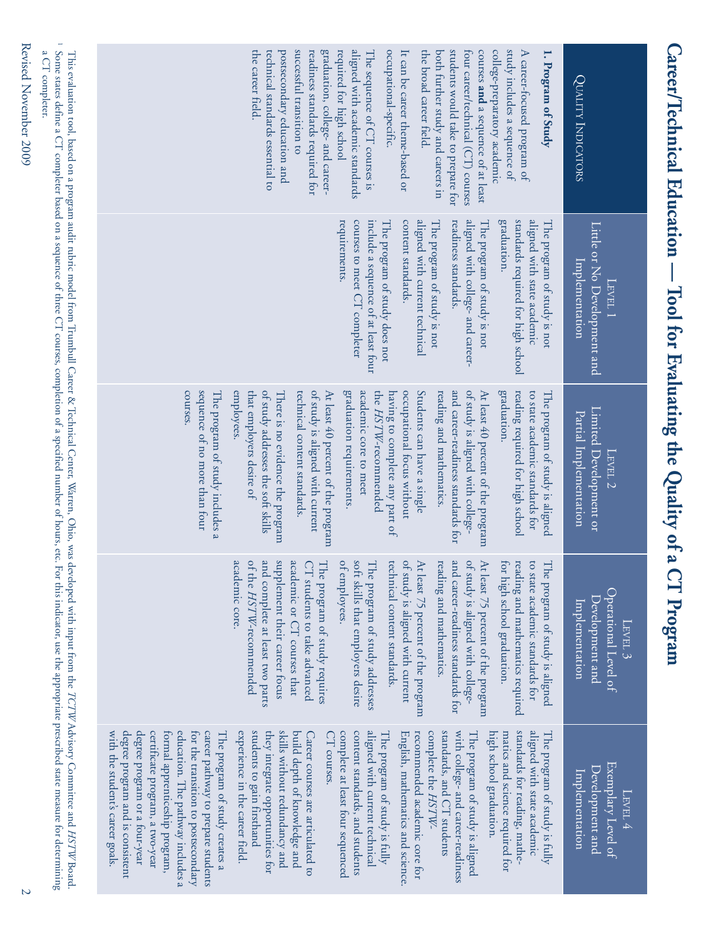| successful transition to<br>students would take to prepare for<br>study includes a sequence of<br>the career field.<br>graduation, college- and career-<br>aligned with academic standards<br>occupational-specific.<br>college-preparatory academic<br>technical standards essential to<br>postsecondary education and<br>readiness standards required for<br>required for high school<br>the broad career field.<br>four career/technical (CT) courses<br>courses and a sequence of at least<br>A career-focused program of<br>The sequence of CT courses is<br>It can be career theme-based or<br>both further study and careers in<br>Ξ.<br>Program of Study<br><b>QUALITY INDICATORS</b><br>aligned with current technical<br>standards required for high school<br>aligned with state academic<br>include a sequence of at least four<br>content standards.<br>aligned with college- and career-<br>graduation.<br>courses to meet CT completer<br>The program of study is not<br>readiness standards.<br>requirements.<br>The program of study does not<br>The program of study is not<br>The program of study is not<br>Little or No Development and<br>Implementation<br>LEVEL 1<br>sequence of no more than four<br>of study addresses the soft skills<br>of study is aligned with current<br>of study is aligned with college-<br>courses.<br>employees.<br>that employers desire of<br>graduation requirements.<br>academic core to meet<br>occupational focus without<br>Students can have a single<br>and career-readiness standards for<br>graduation.<br>The program of study includes a<br>technical content standards.<br>the HSTW-recommended<br>At least $40$ percent of the program<br>reading required for high school<br>There is no evidence the program<br>At least 40 percent of the program<br>having to complete any part of<br>reading and mathematics.<br>to state academic standards for<br>The program of study is aligned<br>Limited Development or<br>Partial Implementation<br>LEVEL 2 |
|---------------------------------------------------------------------------------------------------------------------------------------------------------------------------------------------------------------------------------------------------------------------------------------------------------------------------------------------------------------------------------------------------------------------------------------------------------------------------------------------------------------------------------------------------------------------------------------------------------------------------------------------------------------------------------------------------------------------------------------------------------------------------------------------------------------------------------------------------------------------------------------------------------------------------------------------------------------------------------------------------------------------------------------------------------------------------------------------------------------------------------------------------------------------------------------------------------------------------------------------------------------------------------------------------------------------------------------------------------------------------------------------------------------------------------------------------------------------------------------------------------------------------------------------------------------------------------------------------------------------------------------------------------------------------------------------------------------------------------------------------------------------------------------------------------------------------------------------------------------------------------------------------------------------------------------------------------------------------------------------------------------------------|
| academic core.<br>and complete at least two parts<br>supplement their career focus<br>academic or CT courses that<br>and career-readiness standards for<br>of study is aligned with college-<br>soft skills that employers desire<br>The program of study requires<br>of study is aligned with current<br>reading and mathematics.<br>for high school graduation.<br>of the HSTW-recommended<br>CT students to take advanced<br>of employees.<br>At least 75 percent of the program<br>technical content standards<br>The program of study addresses<br>At least $75$ percent of the program<br>eading and mathematics required<br>o state academic standards for<br>The program of study is aligned<br>Operational Level of<br>Development and<br>Implementation<br>$\tt L_{\rm FVEL}$ 3                                                                                                                                                                                                                                                                                                                                                                                                                                                                                                                                                                                                                                                                                                                                                                                                                                                                                                                                                                                                                                                                                                                                                                                                                                 |
| with college- and career-readiness<br>standards for reading, mathe-<br>students to gain firsthand<br>skills without redundancy and<br>aligned with current technical<br>aligned with state academic<br>education. The pathway includes a<br>for the transition to postsecondary<br>career pathway to prepare students<br>experience in the career field<br>they integrate opportunities for<br>build depth of knowledge and<br>complete at least four sequenced<br>content standards, and students<br>complete the HSTW-<br>standards, and CT students<br>high school graduation.<br>formal apprenticeship program,<br>CT courses.<br>English, mathematics and science.<br>recommended academic core for<br>matics and science required for<br>The program of study is aligned<br>The program of study creates a<br>Career courses are articulated to<br>The program of study is fully<br>The program of study is fully<br>Exemplary Level of<br>Development and<br>Implementation<br>LEVEL 4                                                                                                                                                                                                                                                                                                                                                                                                                                                                                                                                                                                                                                                                                                                                                                                                                                                                                                                                                                                                                             |

Career/Technical Education - Tool for Evaluating the Quality of a CT Program

Revised November 2009 2 Revised November 2009

a CT completer.

a CT completer.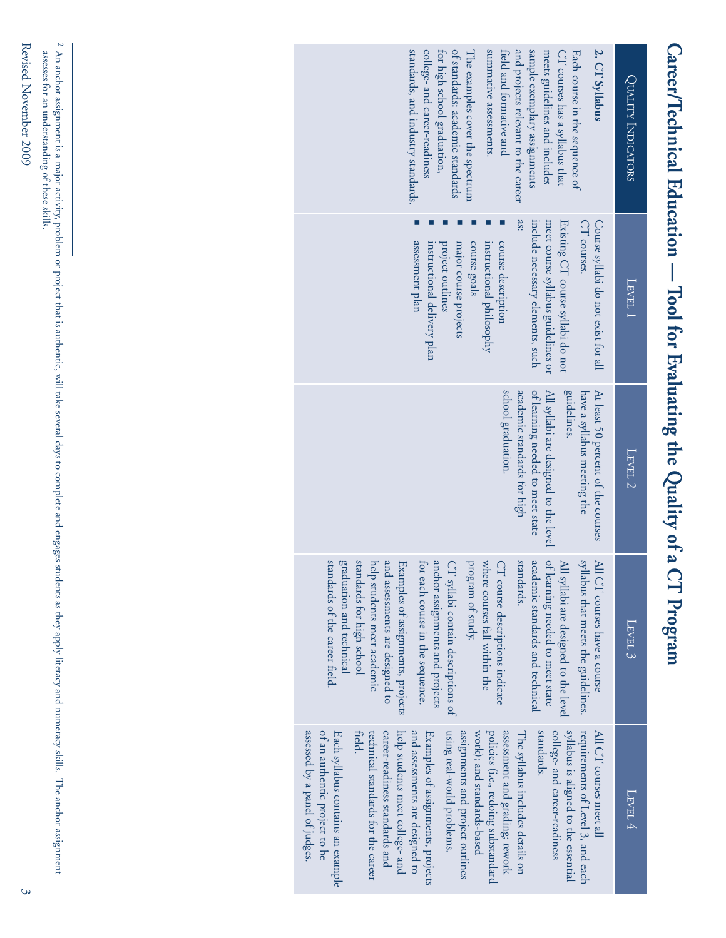| 2. CT Syllabus<br>standards, and industry standards.<br>college- and career-readiness<br>of standards: academic standards<br>summative assessments.<br>and projects relevant to the career<br>sample exemplary assignments<br>for high school graduation,<br>The examples cover the spectrum<br>field and formative and<br>meets guidelines and includes<br>Each course in the sequence of<br>CT courses has a syllabus that                                                                                                                                                                                                                                        | QUALITY INDICATORS |
|---------------------------------------------------------------------------------------------------------------------------------------------------------------------------------------------------------------------------------------------------------------------------------------------------------------------------------------------------------------------------------------------------------------------------------------------------------------------------------------------------------------------------------------------------------------------------------------------------------------------------------------------------------------------|--------------------|
| se:<br>include necessary elements, such<br>meet course syllabus guidelines or<br>Existing CT course syllabi do not<br>Course syllabi do not exist for all<br>CT courses.<br>assessment plan<br>course goals<br>course description<br>major course projects<br>instructional philosophy<br>instructional delivery plan<br>project outlines                                                                                                                                                                                                                                                                                                                           | LEVEL 1            |
| guidelines.<br>At least 50 percent of the courses<br>academic standards for high<br>of learning needed to meet state<br>All syllabi are designed to the level<br>have a syllabus meeting the<br>school graduation.                                                                                                                                                                                                                                                                                                                                                                                                                                                  | LEVEL 2            |
| of learning needed to meet state<br>standards of the career field.<br>graduation and technical<br>standards for high school<br>and assessments are designed to<br>anchor assignments and projects<br>standards.<br>academic standards and technical<br>syllabus that meets the guidelines.<br>Examples of assignments, projects<br>for each course in the sequence.<br>program of study.<br>where courses fall within the<br>help students meet academic<br>CT syllabi contain descriptions of<br>CT course descriptions indicate<br>$\mathbb H$<br>E<br>I syllabi are designed to the level<br>CT courses have a course                                            | $\tt LEVEL~3$      |
| of an authentic project to be<br>help students meet college- and<br>and assessments are designed to<br>policies (i.e., redoing substandard<br>assessment and grading; rework<br>standards.<br>college- and career-readiness<br>syllabus is aligned to the essential<br>requirements of Level 3, and each<br>assessed by a panel of judges.<br>field<br>career-readiness standards and<br>Examples of assignments, projects<br>using real-world problems<br>assignments and project outlines<br>work); and standards-based<br>Each syllabus contains an example<br>technical standards for the career<br>The syllabus includes details on<br>All CT courses meet all | LEVEL 4            |

Revised November 2009 3 Revised November 2009

<sup>2</sup> An anchor assignment is a major activity, problem or project that is authentic, will take several days to complete and engages students as they apply literacy and numeracy skills. The anchor assignment assesses for an understanding of these skills. An anchor assignment is a major activity, problem or project that is authentic, will take several days to complete and engages students as they apply literacy and numeracy skills. The anchor assignment assesses for an understanding of these skills.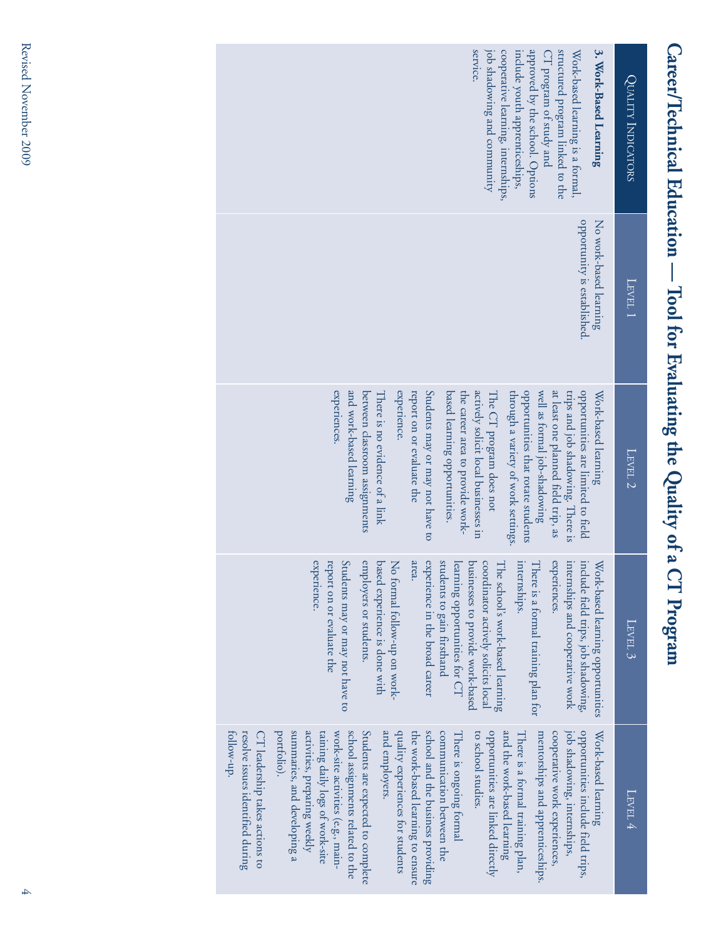| 3. Work-Based Learning<br>service.<br>job shadowing and community<br>approved by the school. Options<br>structured program linked to the<br>cooperative learning, internships,<br>include youth apprenticeships,<br>Work-based learning is a formal,<br>$\mathbb{C}\mathbb{T}$ program of study and                                                                                                                                                                                                                                                                                                                                                                                                                                                                                                   | QUALITY INDICATORS   |
|-------------------------------------------------------------------------------------------------------------------------------------------------------------------------------------------------------------------------------------------------------------------------------------------------------------------------------------------------------------------------------------------------------------------------------------------------------------------------------------------------------------------------------------------------------------------------------------------------------------------------------------------------------------------------------------------------------------------------------------------------------------------------------------------------------|----------------------|
| opportunity is established.<br>No work-based learning                                                                                                                                                                                                                                                                                                                                                                                                                                                                                                                                                                                                                                                                                                                                                 | LEVEL 1              |
| experiences.<br>opportunities are limited to field<br>and work-based learning<br>experience.<br>opportunities that rotate students<br>well as formal job-shadowing<br>at least one planned field trip, as<br>between classroom assignments<br>report on or evaluate the<br>Students may or may not have to<br>based learning opportunities.<br>the career area to provide work-<br>actively solicit local businesses in<br>through a variety of work settings<br>There is no evidence of a link<br>The CT program does not<br>trips and job shadowing. There is<br>Work-based learning                                                                                                                                                                                                                | $\Gamma$ EVEL $2$    |
| experience<br>employers or students.<br>area.<br>experience in the broad career<br>students to gain firsthand<br>experiences.<br>report on or evaluate the<br>Students may or may not have to<br>based experience is done with<br>learning opportunities for CT<br>coordinator actively solicits local<br>businesses to provide work-based<br>There is a formal training plan for<br>internships and cooperative work<br>include field trips, job shadowing,<br>No formal follow-up on work-<br>The school's work-based learning<br>internships.<br>Work-based learning opportunities                                                                                                                                                                                                                 | $\tt L_{\rm EVEL}$ 3 |
| summaries, and developing a<br>opportunities include field trips,<br>Students are expected to complete<br>quality experiences for students<br>school and the business providing<br>and the work-based learning<br>portfolio).<br>activities, preparing weekly<br>school assignments related to the<br>and employers.<br>the work-based learning to ensure<br>communication between the<br>opportunities are linked directly<br>cooperative work experiences<br>job shadowing, internships<br>resolve issues identified during<br>CT leadership takes actions to<br>taining daily logs of work-site<br>work-site activities (e.g., main-<br>There is ongoing formal<br>to school studies.<br>There is a formal training plan,<br>mentorships and apprenticeships.<br>tollow-up.<br>Work-based learning | LEVEL 4              |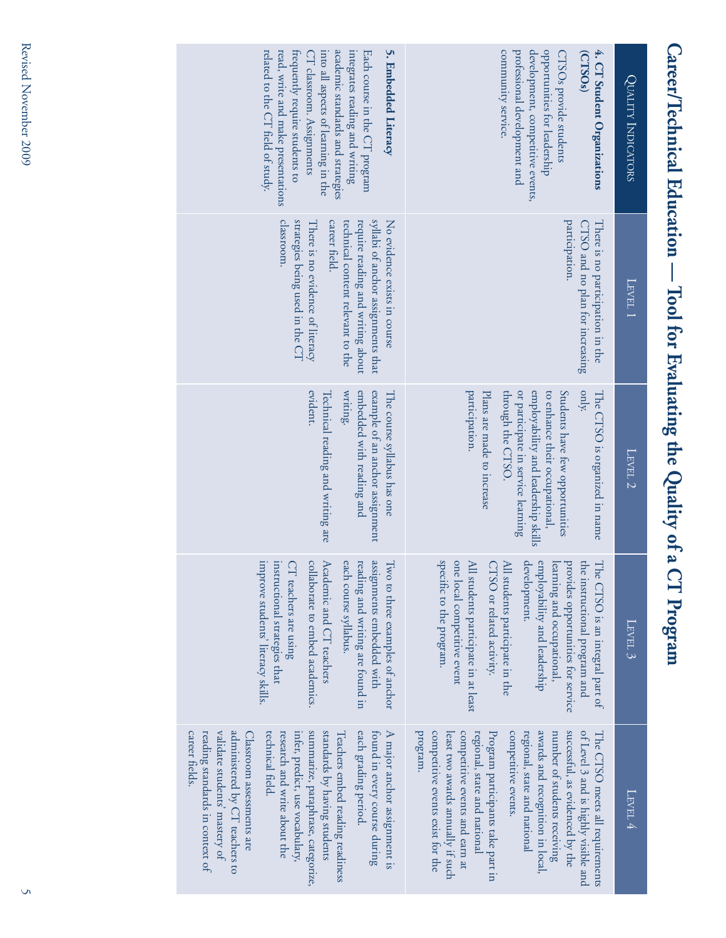| <b>QUALITY INDICATORS</b> | opportunities for leadership<br>community service.<br>professional development and<br>development, competitive events,<br>4. CT Student Organizations<br>(CTSO <sub>s</sub> )<br><b>CTSOs</b> provide students                                                                                                                                                                                                                    | 5. Embedded Literacy<br>academic standards and strategies<br>related to the CT field of study.<br>read, write and make presentations<br>trequently require students to<br>integrates reading and writing<br>Each course in the CT program<br>into all aspects of learning in the<br>CT classroom. Assignments                                                                                                                              |
|---------------------------|-----------------------------------------------------------------------------------------------------------------------------------------------------------------------------------------------------------------------------------------------------------------------------------------------------------------------------------------------------------------------------------------------------------------------------------|--------------------------------------------------------------------------------------------------------------------------------------------------------------------------------------------------------------------------------------------------------------------------------------------------------------------------------------------------------------------------------------------------------------------------------------------|
| LEVEL 1                   | participation.<br>CTSO and no plan for increasing<br>There is no participation in the                                                                                                                                                                                                                                                                                                                                             | syllabi of anchor assignments that<br>classroom.<br>strategies being used in the CT<br>No evidence exists in course<br>career field.<br>technical content relevant to the<br>require reading and writing about<br>There is no evidence of literacy                                                                                                                                                                                         |
| LEVEL 2                   | participation.<br>employability and leadership skills<br>only.<br>or participate in service learning<br>to enhance their occupational,<br>Students have few opportunities<br>Plans are made to increase<br>through the CTSO.<br>The CTSO is organized in name                                                                                                                                                                     | embedded with reading and<br>evident.<br>writing.<br>example of an anchor assignment<br>Technical reading and writing are<br>The course syllabus has one                                                                                                                                                                                                                                                                                   |
| $_{\rm{LFVEL}}$ 3         | specific to the program.<br>one local competitive event<br>All students participate in at least<br>development.<br>employability and leadership<br>provides opportunities for service<br>learning and occupational,<br>CTSO or related activity.<br><b>MI</b> students participate in the<br>The CTSO is an integral part of<br>he instructional program and                                                                      | assignments embedded with<br>improve students' literacy skills.<br>Academic and CT teachers<br>reading and writing are found in<br>Two to three examples of anchor<br>collaborate to embed academics.<br>each course syllabus.<br>instructional strategies that<br>CT teachers are using                                                                                                                                                   |
| LEVEL 4                   | awards and recognition in local,<br>successful, as evidenced by the<br>program.<br>competitive events exist for the<br>of Level 3 and is highly visible and<br>competitive events and earn at<br>regional, state and national<br>Program participants take part in<br>competitive events.<br>regional, state and national<br>number of students receiving<br>The CTSO meets all requirements<br>least two awards annually if such | each grading period.<br>A major anchor assignment is<br>inter, predict, use vocabulary,<br>summarize, paraphrase, categorize,<br>standards by having students<br>Teachers embed reading readiness<br>found in every course during<br>career fields.<br>reading standards in context of<br>validate students' mastery of<br>administered by CT teachers to<br>technical field.<br>Classroom assessments are<br>research and write about the |

Career/Technical Education - Tool for Evaluating the Quality of a CT Program

# Revised November 2009 5 Revised November 2009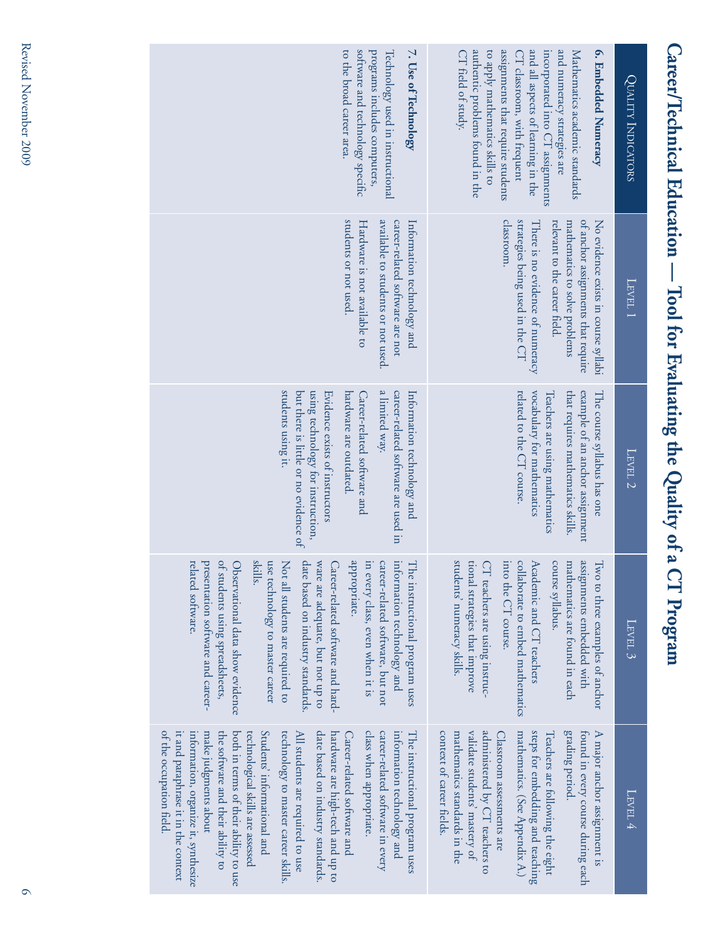| software and technology specific<br>7. Use of Technology<br>to the broad career area.<br>programs includes computers,<br>Technology used in instructional                                                                                                                                                                                                                                                                                                                                                                                                                                           | authentic problems found in the<br>assignments that require students<br>and all aspects of learning in the<br>and numeracy strategies are<br>6. Embedded Numeracy<br>CT field of study.<br>to apply mathematics skills to<br>Mathematics academic standards<br>CT classroom, with frequent<br>incorporated into CT assignments                              | QUALITY INDICATORS |
|-----------------------------------------------------------------------------------------------------------------------------------------------------------------------------------------------------------------------------------------------------------------------------------------------------------------------------------------------------------------------------------------------------------------------------------------------------------------------------------------------------------------------------------------------------------------------------------------------------|-------------------------------------------------------------------------------------------------------------------------------------------------------------------------------------------------------------------------------------------------------------------------------------------------------------------------------------------------------------|--------------------|
| students or not used.<br>available to students or not used.<br>career-related software are not<br>Hardware is not available to<br>Information technology and                                                                                                                                                                                                                                                                                                                                                                                                                                        | strategies being used in the CT<br>classroom.<br>of anchor assignments that require<br>relevant to the career field.<br>No evidence exists in course syllabi<br>There is no evidence of numeracy<br>mathematics to solve problems                                                                                                                           | LEVEL 1            |
| students using it.<br>using technology for instruction,<br>a limited way.<br>career-related software are used in<br>but there is little or no evidence of<br>hardware are outdated<br>Information technology and<br>Evidence exists of instructors<br>Career-related software and                                                                                                                                                                                                                                                                                                                   | that requires mathematics skills.<br>example of an anchor assignment<br>related to the CT course.<br>vocabulary for mathematics<br>The course syllabus has one<br>Teachers are using mathematics                                                                                                                                                            | LEVEL <sub>2</sub> |
| elated software.<br>oresentation software and career-<br>of students using spreadsheets,<br>Observational data show evidence<br>skills.<br>use technology to master career<br>Not all students are required to<br>late based on industry standards.<br>ware are adequate, but not up to<br>Career-related software and hard-<br>appropriate.<br>in every class, even when it is<br>career-related software, but not<br>nformation technology and<br>The instructional program uses                                                                                                                  | students' numeracy skills.<br>ional strategies that improve<br>CT teachers are using instruc-<br>nto the CT course.<br>collaborate to embed mathematics<br>Academic and CT teachers<br>course syllabus.<br>mathematics are found in each<br>assignments embedded with<br>Iwo to three examples of anchor                                                    | $_{\rm LFVEL}$ 3   |
| of the occupation field.<br>Students' informational and<br>technology to master career skills.<br>make judgments about<br>the software and their ability to<br>both in terms of their ability to use<br>All students are required to use<br>date based on industry standards.<br>hardware are high-tech and up to<br>class when appropriate.<br>it and paraphrase it in the context<br>technological skills are assessed<br>career-related software in every<br>information technology and<br>The instructional program uses<br>information, organize it, synthesize<br>Career-related software and | grading period.<br>validate students' mastery of<br>administered by CT teachers to<br>steps for embedding and teaching<br>found in every course during each<br>context of career fields.<br>mathematics standards in the<br>mathematics. (See Appendix A.)<br>A major anchor assignment is<br>Classroom assessments are<br>Teachers are following the eight | LEVEL 4            |

Career/Technical Education - Tool for Evaluating the Quality of a CT Program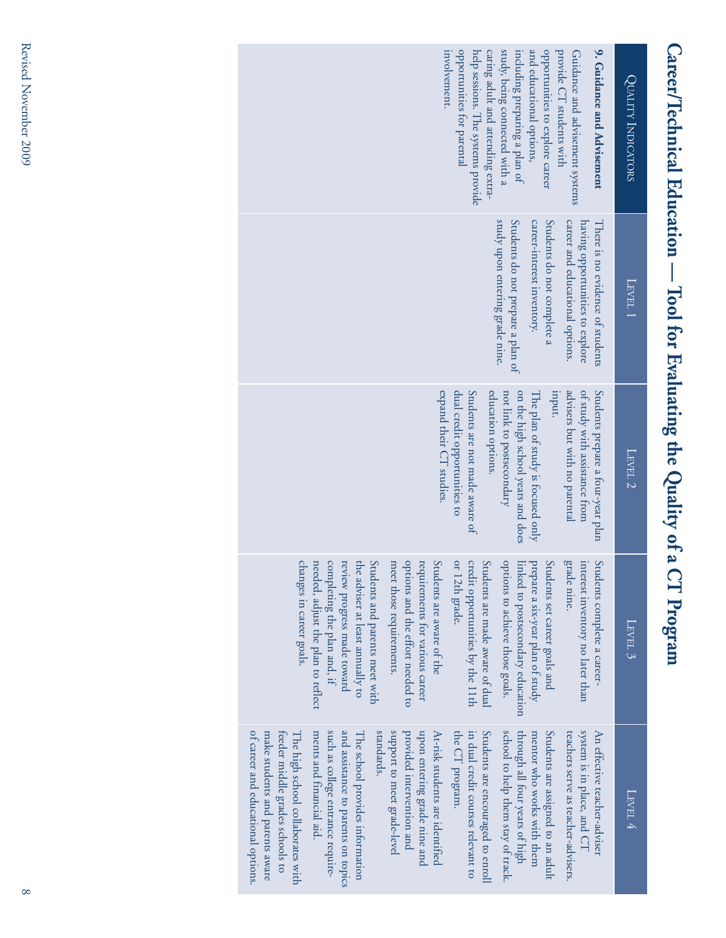| study, being connected with a<br>and educational options,<br>9. Guidance and Advisement<br>opportunities to explore career<br>provide CT students with<br>involvement.<br>opportunities for parental<br>help sessions. The systems provide<br>caring adult and attending extra-<br>including preparing a plan of<br>Guidance and advisement systems<br>QUALITY INDICATORS<br>study upon entering grade nine.<br>Students do not prepare a plan of<br>Students do not complete a<br>career-interest inventory.<br>career and educational options.<br>having opportunities to explore<br>There is no evidence of students<br>LEVEL 1<br>on the high school years and does<br>uput.<br>advisers but with no parental<br>expand their CT studies.<br>dual credit opportunities to<br>Students are not made aware of<br>of study with assistance from<br>Students prepare a four-year plan<br>education options.<br>not link to postsecondary<br>The plan of study is focused only<br>$T$ EVEL 2<br>changes in career goals.<br>completing the plan and, if<br>Students and parents meet with<br>options and the effort needed to<br>or 12th grade.<br>grade nine.<br>needed, adjust the plan to reflect<br>review progress made toward<br>the adviser at least annually to<br>meet those requirements.<br>requirements for various career<br>Students are aware of the<br>credit opportunities by the 11th<br>Students are made aware of dual<br>options to achieve those goals.<br>$\tilde{S}$<br>interest inventory no later than<br>Students complete a career-<br>prepare a six-year plan of study<br>linked to postsecondary education<br>tudents set career goals and<br>$\tt L_{\rm KVEL}$ 3<br>support to meet grade-level<br>in dual credit courses relevant to<br>Students are encouraged to enroll<br>school to help them stay of track.<br>Students are assigned to an adult<br>system is in place, and CT<br>The high school collaborates with<br>ments and financial aid.<br>such as college entrance require-<br>standards.<br>provided intervention and<br>upon entering grade nine and<br>At-risk students are identified<br>the CT program.<br>through all four years of high<br>An effective teacher-adviser<br>feeder middle grades schools to<br>The school provides information<br>teachers serve as teacher-advisers.<br>make students and parents aware<br>mentor who works with them<br>LEVEL 4 |  | Career/Technical Education - Tool for Evaluating the Quality of a | <b>CT</b> Program |                                     |
|----------------------------------------------------------------------------------------------------------------------------------------------------------------------------------------------------------------------------------------------------------------------------------------------------------------------------------------------------------------------------------------------------------------------------------------------------------------------------------------------------------------------------------------------------------------------------------------------------------------------------------------------------------------------------------------------------------------------------------------------------------------------------------------------------------------------------------------------------------------------------------------------------------------------------------------------------------------------------------------------------------------------------------------------------------------------------------------------------------------------------------------------------------------------------------------------------------------------------------------------------------------------------------------------------------------------------------------------------------------------------------------------------------------------------------------------------------------------------------------------------------------------------------------------------------------------------------------------------------------------------------------------------------------------------------------------------------------------------------------------------------------------------------------------------------------------------------------------------------------------------------------------------------------------------------------------------------------------------------------------------------------------------------------------------------------------------------------------------------------------------------------------------------------------------------------------------------------------------------------------------------------------------------------------------------------------------------------------------------------------------------------------------------------------|--|-------------------------------------------------------------------|-------------------|-------------------------------------|
|                                                                                                                                                                                                                                                                                                                                                                                                                                                                                                                                                                                                                                                                                                                                                                                                                                                                                                                                                                                                                                                                                                                                                                                                                                                                                                                                                                                                                                                                                                                                                                                                                                                                                                                                                                                                                                                                                                                                                                                                                                                                                                                                                                                                                                                                                                                                                                                                                      |  |                                                                   |                   |                                     |
| of career and educational options.                                                                                                                                                                                                                                                                                                                                                                                                                                                                                                                                                                                                                                                                                                                                                                                                                                                                                                                                                                                                                                                                                                                                                                                                                                                                                                                                                                                                                                                                                                                                                                                                                                                                                                                                                                                                                                                                                                                                                                                                                                                                                                                                                                                                                                                                                                                                                                                   |  |                                                                   |                   | and assistance to parents on topics |

# Revised November 2009 8 Revised November 2009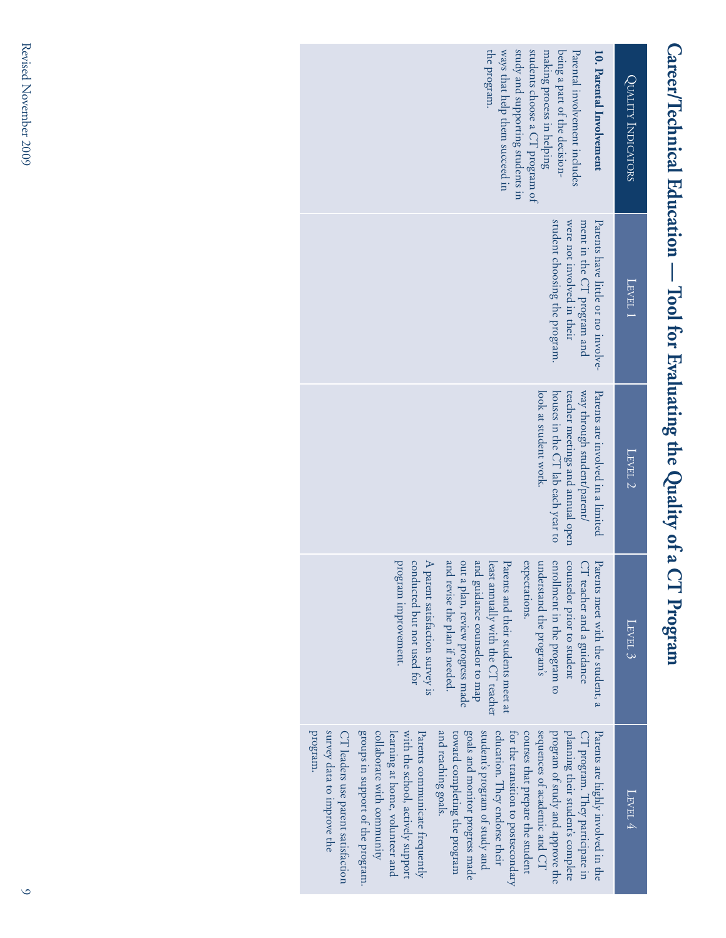| students choose a CT program of<br>study and supporting students in<br>the program.<br>ways that help them succeed in<br>making process in helping<br>being a part of the decision-<br>Parental involvement includes<br>10. Parental Involvement                                                                                                                                                                                                                                                                                                                                                                                                                                     | QUALITY INDICATORS |
|--------------------------------------------------------------------------------------------------------------------------------------------------------------------------------------------------------------------------------------------------------------------------------------------------------------------------------------------------------------------------------------------------------------------------------------------------------------------------------------------------------------------------------------------------------------------------------------------------------------------------------------------------------------------------------------|--------------------|
| student choosing the program.<br>Parents have little or no involve-<br>were not involved in their<br>ment in the CT program and                                                                                                                                                                                                                                                                                                                                                                                                                                                                                                                                                      | LEVEL 1            |
| way through student/parent/<br>houses in the CT lab each year to<br>teacher meetings and annual open<br>look at student work.<br>Parents are involved in a limited                                                                                                                                                                                                                                                                                                                                                                                                                                                                                                                   | LEVEL <sub>2</sub> |
| conducted but not used for<br>and revise the plan if needed.<br>program improvement.<br>A parent satisfaction survey is<br>out a plan, review progress made<br>and guidance counselor to map<br>expectations.<br>enrollment in the program to<br>counselor prior to student<br>understand the program's<br>least annually with the CT teacher<br>Parents and their students meet at<br>CT teacher and a guidance<br>Parents meet with the student, a                                                                                                                                                                                                                                 | LEVEL 3            |
| planning their student's complete<br>and reaching goals.<br>goals and monitor progress made<br>student's program of study and<br>program of study and approve the<br>program.<br>survey data to improve the<br>CT leaders use parent satisfaction<br>groups in support of the program.<br>collaborate with community<br>with the school, actively support<br>Parents communicate frequently<br>education. They endorse their<br>courses that prepare the student<br>sequences of academic and CT<br>learning at home, volunteer and<br>toward completing the program<br>for the transition to postsecondary<br>CT program. They participate in<br>Parents are highly involved in the | LEVEL 4            |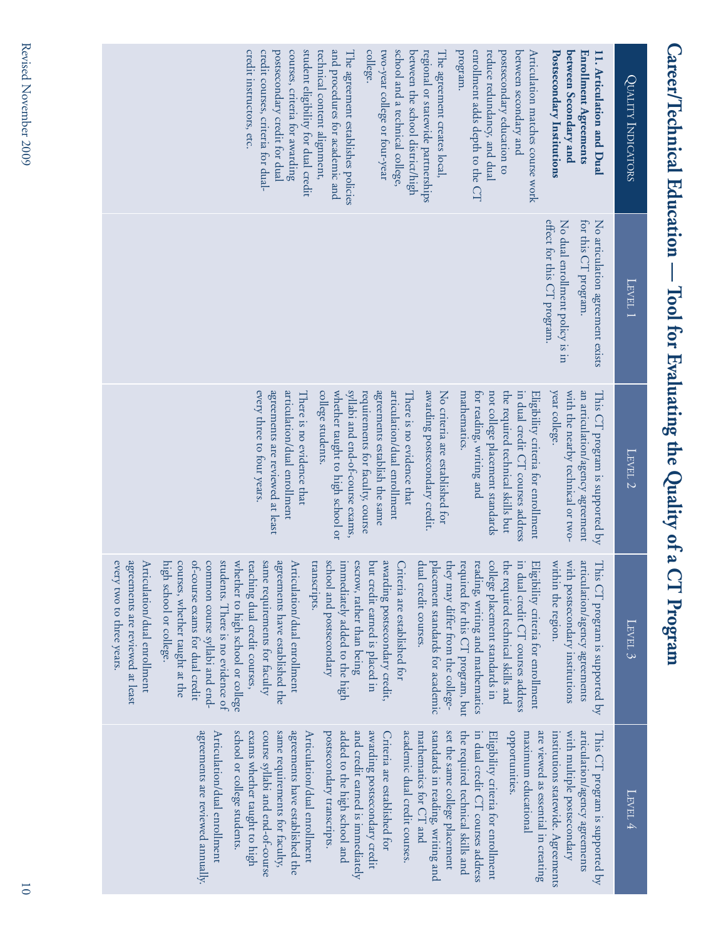| student eligibility for dual credit<br>and procedures for academic and<br>college.<br>school and a technical college,<br>enrollment adds depth to the CT<br>credit instructors, etc.<br>credit courses, criteria for dual-<br>postsecondary credit for dual<br>courses, criteria for awarding<br>two-year college or four-year<br>program.<br>reduce redundancy, and dual<br>postsecondary education to<br>between secondary and<br>between Secondary and<br>technical content alignment,<br>between the school district/high<br>regional or statewide partnerships<br>Articulation matches course work<br>Postsecondary Institutions<br>The agreement establishes policies<br>The agreement creates local<br>Enrollment Agreements<br>11. Articulation and Dual                                                                                                                                                                                                                                                                                                                                                            | QUALITY INDICATORS    |
|-----------------------------------------------------------------------------------------------------------------------------------------------------------------------------------------------------------------------------------------------------------------------------------------------------------------------------------------------------------------------------------------------------------------------------------------------------------------------------------------------------------------------------------------------------------------------------------------------------------------------------------------------------------------------------------------------------------------------------------------------------------------------------------------------------------------------------------------------------------------------------------------------------------------------------------------------------------------------------------------------------------------------------------------------------------------------------------------------------------------------------|-----------------------|
| effect for this CT program.<br>No dual enrollment policy is in<br>for this CT program.<br>No articulation agreement exists                                                                                                                                                                                                                                                                                                                                                                                                                                                                                                                                                                                                                                                                                                                                                                                                                                                                                                                                                                                                  | LEVEL 1               |
| every three to four years.<br>agreements are reviewed at least<br>syllabi and end-of-course exams,<br>articulation/dual enrollment<br>awarding postsecondary credit.<br>year college.<br>an articulation/agency agreement<br>articulation/dual enrollment<br>college students.<br>whether taught to high school or<br>requirements for faculty, course<br>agreements establish the same<br>mathematics.<br>the required technical skills but<br>with the nearby technical or two-<br>This CT program is supported by<br>There is no evidence that<br>No criteria are established for<br>for reading, writing and<br>not college placement standards<br>in dual credit CT courses address<br>There is no evidence that<br>Eligibility criteria for enrollment                                                                                                                                                                                                                                                                                                                                                                | LEVEL 2               |
| agreements are reviewed at least<br>students. There is no evidence of<br>with postsecondary institutions<br>Articulation/dual enrollment<br>courses, whether taught at the<br>of-course exams for dual credit<br>common course syllabi and end-<br>whether to high school or college<br>agreements have established the<br>school and postsecondary<br>awarding postsecondary credit,<br>within the region.<br>articulation/agency agreements<br>every two to three years.<br>high school or college.<br>teaching dual credit courses,<br>same requirements for faculty<br>Articulation/dual enrollment<br>transcripts.<br>immediately added to the high<br>escrow, rather than being<br>dual credit courses.<br>reading, writing and mathematics<br>college placement standards in<br>but credit earned is placed in<br>placement standards for academic<br>they may differ from the college-<br>required for this CT program, but<br>the required technical skills and<br>in dual credit CT courses address<br>This CT program is supported by<br>Criteria are established for<br>回<br>ligibility criteria for enrollment | $\tt L_{\rm{EVEL}}$ 3 |
| agreements are reviewed annually.<br>added to the high school and<br>and credit earned is immediately<br>awarding postsecondary credit<br>school or college students.<br>course syllabi and end-of-course<br>same requirements for faculty,<br>agreements have established the<br>Articulation/dual enrollment<br>postsecondary transcripts<br>academic dual credit courses.<br>standards in reading, writing and<br>set the same college placement<br>opportunities.<br>are viewed as essential in creating<br>with multiple postsecondary<br>articulation/agency agreements<br>Articulation/dual enrollment<br>exams whether taught to high<br>mathematics for CT and<br>the required technical skills and<br>in dual credit CT courses address<br>institutions statewide. Agreements<br>Criteria are established for<br>Eligibility criteria for enrollment<br>maximum educational<br>This CT program is supported by                                                                                                                                                                                                    | Level 4               |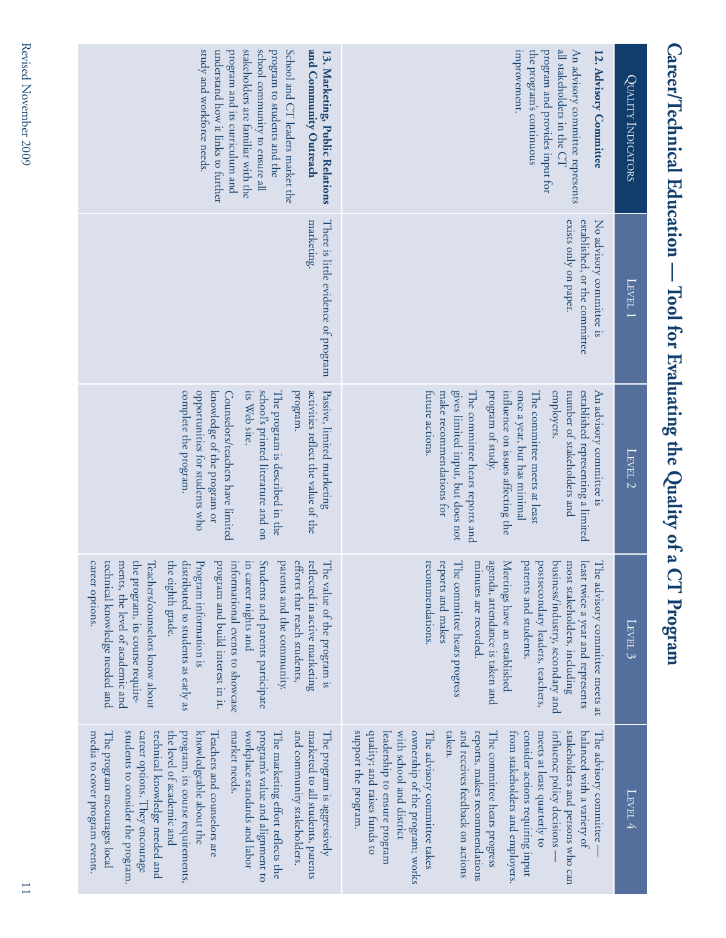| study and workforce needs.<br>stakeholders are familiar with the<br>school community to ensure all<br>and Community Outreach<br>understand how it links to further<br>program and its curriculum and<br>program to students and the<br>School and CT leaders market the<br>13. Marketing, Public Relations                                                                                                                                                                                                                        | improvement.<br>all stakeholders in the CT<br>An advisory committee represents<br>the program's continuous<br>program and provides input for<br>12. Advisory Committee                                                                                                                                                                                                                                                                                                                                                                 | <b>QUALITY INDICATORS</b> |
|-----------------------------------------------------------------------------------------------------------------------------------------------------------------------------------------------------------------------------------------------------------------------------------------------------------------------------------------------------------------------------------------------------------------------------------------------------------------------------------------------------------------------------------|----------------------------------------------------------------------------------------------------------------------------------------------------------------------------------------------------------------------------------------------------------------------------------------------------------------------------------------------------------------------------------------------------------------------------------------------------------------------------------------------------------------------------------------|---------------------------|
| There is little evidence of program<br>marketing.                                                                                                                                                                                                                                                                                                                                                                                                                                                                                 | exists only on paper.<br>established, or the committee<br>No advisory committee<br>S <sub>1</sub>                                                                                                                                                                                                                                                                                                                                                                                                                                      | LEVEL 1                   |
| school's printed literature and on<br>opportunities for students who<br>its Web site.<br>program.<br>activities reflect the value of the<br>Passive, limited marketing<br>complete the program.<br>knowledge of the program or<br>The program is described in the<br>Counselors/teachers have limited                                                                                                                                                                                                                             | gives limited input, but does not<br>program of study.<br>once a year, but has minimal<br>employers.<br>number of stakeholders and<br>established representing a limited<br>influence on issues affecting the<br>The committee meets at least<br>An advisory committee<br>tuture actions.<br>make recommendations for<br>The committee hears reports and                                                                                                                                                                               | LEVEL 2                   |
| informational events to showcase<br>Students and parents participate<br>parents and the community.<br>efforts that reach students,<br>reflected in active marketing<br>technical knowledge needed and<br>ments, the level of academic and<br>the program, its course require-<br>the eighth grade.<br>distributed to students as early as<br>program and build interest in it.<br>E<br>career options.<br>Teachers/counselors know about<br>Program information is<br>The value of the program is<br>career nights and            | agenda, attendance is taken and<br>recommendations.<br>reports and makes<br>The committee hears progress<br>minutes are recorded.<br>Meetings have an established<br>parents and students.<br>postsecondary leaders, teachers,<br>business/industry, secondary and<br>most stakeholders, including<br>least twice a year and represents<br>The advisory committee meets at                                                                                                                                                             | $\tt L_{\rm EVEL}$ 3      |
| students to consider the program.<br>and community stakeholders.<br>career options. They encourage<br>technical knowledge needed and<br>the level of academic and<br>program, its course requirements,<br>knowledgeable about the<br>market needs.<br>workplace standards and labor<br>program's value and alignment to<br>marketed to all students, parents<br>The program is aggressively<br>media to cover program events.<br>The program encourages local<br>Teachers and counselors are<br>The marketing effort reflects the | support the program.<br>ownership of the program; works<br>stakeholders and persons who can<br>quality; and raises funds to<br>with school and district<br>and receives feedback on actions<br>influence policy decisions -<br>taken.<br>The committee hears progress<br>from stakeholders and employers.<br>consider actions requiring input<br>meets at least quarterly to<br>balanced with a variety of<br>leadership to ensure program<br>The advisory committee takes<br>reports, makes recommendations<br>The advisory committee | LEVEL 4                   |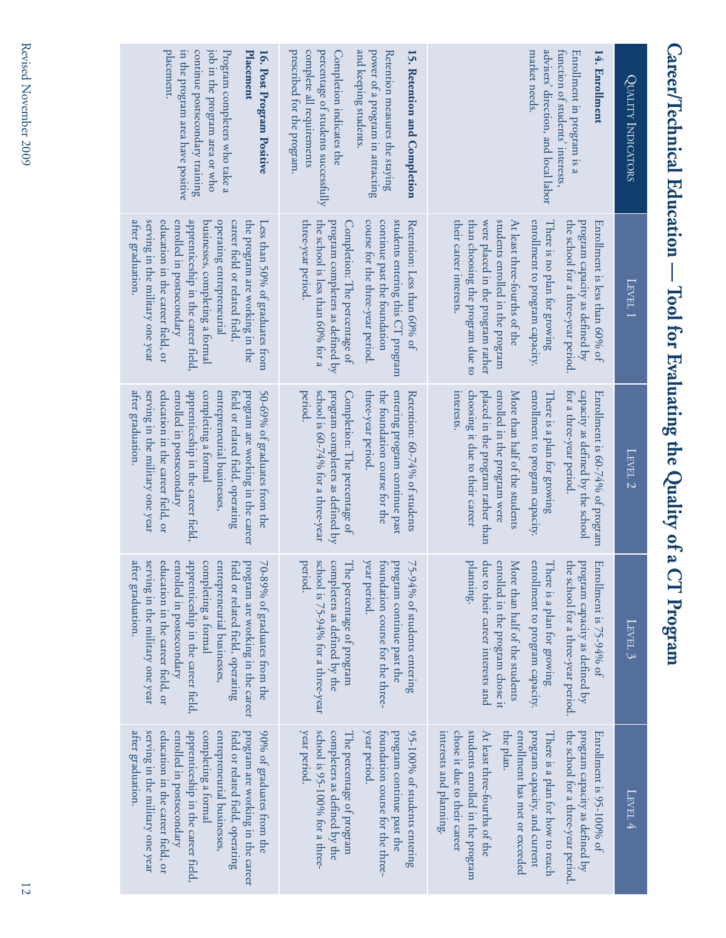| )                                                                                                                                                                                                                                    |
|--------------------------------------------------------------------------------------------------------------------------------------------------------------------------------------------------------------------------------------|
|                                                                                                                                                                                                                                      |
| Ì                                                                                                                                                                                                                                    |
|                                                                                                                                                                                                                                      |
|                                                                                                                                                                                                                                      |
|                                                                                                                                                                                                                                      |
| <b>CHARLES HOTEL HOTEL TO CHARLES AND ALL AND CHARLES AND ALL AND CHARLES AND ALL AND ALL AND ALL AND ALL AND ALL AND ALL AND ALL AND ALL AND ALL AND ALL AND ALL AND ALL AND ALL AND ALL AND ALL AND ALL AND ALL AND ALL AND AL</b> |
|                                                                                                                                                                                                                                      |
| Tool for Evaluating the Quality of a                                                                                                                                                                                                 |
|                                                                                                                                                                                                                                      |
|                                                                                                                                                                                                                                      |
|                                                                                                                                                                                                                                      |
| C                                                                                                                                                                                                                                    |
|                                                                                                                                                                                                                                      |
|                                                                                                                                                                                                                                      |
|                                                                                                                                                                                                                                      |
|                                                                                                                                                                                                                                      |
|                                                                                                                                                                                                                                      |
| l                                                                                                                                                                                                                                    |
|                                                                                                                                                                                                                                      |
|                                                                                                                                                                                                                                      |
|                                                                                                                                                                                                                                      |
|                                                                                                                                                                                                                                      |

| placement.<br>continue postsecondary training<br>job in the program area or who<br>Program completers who take a<br>in the program area have positive<br>Placement<br>16. Post Program Positive                                                                                                                                       | and keeping students.<br>prescribed for the program.<br>complete all requirements<br>percentage of students successfully<br>power of a program in attracting<br>Retention measures the staying<br>15. Retention and Completion<br>Completion indicates the            | advisers' direction, and local labor<br>function of students' interests,<br>market needs.<br>Enrollment in program is a<br>14. Enrollment                                                                                                                                                                                                             | QUALITY INDICATORS  |
|---------------------------------------------------------------------------------------------------------------------------------------------------------------------------------------------------------------------------------------------------------------------------------------------------------------------------------------|-----------------------------------------------------------------------------------------------------------------------------------------------------------------------------------------------------------------------------------------------------------------------|-------------------------------------------------------------------------------------------------------------------------------------------------------------------------------------------------------------------------------------------------------------------------------------------------------------------------------------------------------|---------------------|
| atter graduation.<br>serving in the military one year<br>education in the career field, or<br>enrolled in postsecondary<br>apprenticeship in the career field.<br>operating entrepreneurial<br>businesses, completing a formal<br>career field or related field.<br>the program are working in the<br>Less than 50% of graduates from | course for the three-year period.<br>students entering this CT program<br>three-year period.<br>the school is less than 60% for a<br>program completers as defined by<br>continue past the foundation<br>Retention: Less than 60% of<br>Completion: The percentage of | students enrolled in the program<br>were placed in the program rather<br>enrollment to program capacity.<br>their career interests.<br>than choosing the program due to<br>At least three-fourths of the<br>There is no plan for growing<br>the school for a three-year period.<br>program capacity as defined by<br>Enrollment is less than 60% of   | LEVEL 1             |
| atter graduation<br>serving in the military one year<br>education in the career field, or<br>enrolled in postsecondary<br>apprenticeship in the career field,<br>entrepreneurial businesses<br>50-69% of graduates from the<br>completing a formal<br>field or related field, operating<br>program are working in the career          | period.<br>school is 60-74% for a three-year<br>program completers as defined by<br>entering program continue past<br>three-year period.<br>the foundation course for the<br>Retention: 60-74% of students<br>Completion: The percentage of                           | choosing it due to their career<br>enrollment to program capacity.<br>interests.<br>placed in the program rather than<br>enrolled in the program were<br>More than half of the students<br>There is a plan for growing<br>for a three-year period.<br>capacity as defined by the school<br>Enrollment is 60-74% of program                            | LEVEL 2             |
| serving in the military one year<br>after graduation.<br>education in the career field, or<br>enrolled in postsecondary<br>apprenticeship in the career field,<br>entrepreneurial businesses,<br>completing a formal<br>field or related field, operating<br>program are working in the career<br>70-89% of graduates from the        | school is 75-94% for a three-year<br>year period.<br>completers as defined by the<br>period.<br>foundation course for the three-<br>75-94% of students entering<br>The percentage of program<br>program continue past the                                             | planning.<br>due to their career interests and<br>enrolled in the program chose it<br>More than half of the students<br>enrollment to program capacity.<br>There is a plan for growing<br>the<br>program capacity as defined by<br>Enrollment is 75-94% of<br>school for a three-year period.                                                         | LEVEL $\mathfrak z$ |
| serving in the military one year<br>apprenticeship in the career field,<br>90% of graduates from the<br>after graduation.<br>education in the career field, or<br>enrolled in postsecondary<br>completing a formal<br>entrepreneurial businesses,<br>program are working in the career<br>field or related field, operating           | year period.<br>school is 95-100% for a three-<br>year period.<br>95-100% of students entering<br>completers as defined by the<br>foundation course for the three-<br>program continue past the<br>The percentage of program                                          | students enrolled in the program<br>chose it due to their career<br>the plan.<br>enrollment has met or exceeded<br>program capacity, and current<br>the school for a three-year period.<br>interests and planning.<br>At least three-fourths of the<br>There is a plan for how to reach<br>program capacity as defined by<br>Enrollment is 95-100% of | Level 4             |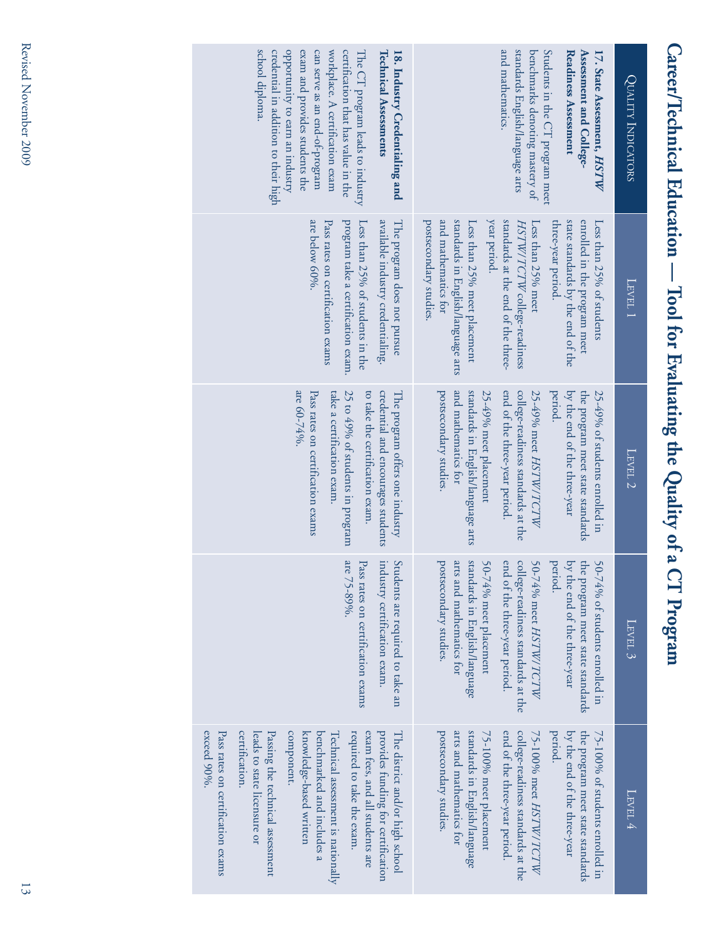| 1                                           |
|---------------------------------------------|
| Ì                                           |
| meer lechnical Equeation -<br>$\frac{1}{1}$ |
|                                             |
| <b>NATHAN IN TAILY</b><br>)<br>日 1          |
|                                             |
| ting the Quality of a                       |
| (                                           |
| ¢<br>I                                      |

| school diploma.<br>opportunity to earn an industry<br>certification that has value in the<br>credential in addition to their high<br>exam and provides students the<br>can serve as an end-of-program<br>workplace. A certification exam<br><b>Technical Assessments</b><br>18. Industry Credentialing and<br>The CT program leads to industry                                               | and mathematics.<br>standards English/language arts<br>Students in the CT program meet<br>benchmarks denoting mastery of<br>Assessment and College-<br><b>Readiness Assessment</b><br>17. State Assessment, HSTW                                                                                                                                      | QUALITY INDICATORS |
|----------------------------------------------------------------------------------------------------------------------------------------------------------------------------------------------------------------------------------------------------------------------------------------------------------------------------------------------------------------------------------------------|-------------------------------------------------------------------------------------------------------------------------------------------------------------------------------------------------------------------------------------------------------------------------------------------------------------------------------------------------------|--------------------|
| The program does not pursue<br>are below 60%.<br>Pass rates on certification exams<br>available industry credentialing.<br>program take a certification exam.<br>Less than 25% of students in the                                                                                                                                                                                            | year period.<br>and mathematics for<br>standards in English/language arts<br>standards at the end of the three-<br>enrolled in the program meet<br>postsecondary studies<br>state standards by the end of the<br>Less than 25% meet placement<br>three-year period.<br>Less than 25% meet<br>HSTW/TCTW college-readiness<br>Less than 25% of students | LEVEL 1            |
| are 60-74%.<br>25 to 49% of students in program<br>credential and encourages students<br>Pass rates on certification exams<br>to take the certification exam.<br>take a certification exam<br>The program offers one industry                                                                                                                                                                | postsecondary studies.<br>and mathematics for<br>standards in English/language arts<br>end of the three-year period.<br>college-readiness standards at the<br>period.<br>the program meet state standards<br>25-49% meet placement<br>25-49% meet HSTW/TCTW<br>by the end of the three-year<br>$25-49%$ of students enrolled in                       | LEVEL 2            |
| industry certification exam.<br>are 75-89%.<br>Students are required to take an<br>Pass rates on certification exams                                                                                                                                                                                                                                                                         | standards in English/language<br>end of the three-year period.<br>arts and mathematics for<br>50-74% meet placement<br>college-readiness standards at the<br>period.<br>by the end of the three-year<br>postsecondary studies.<br>50-74% meet HSTW/TCTW<br>the program meet state standards<br>50-74% of students enrolled in                         | $\textrm{Lerv}$ 3  |
| exceed 90%.<br>Pass rates on certification exams<br>certification.<br>component.<br>required to take the exam.<br>exam fees, and all students are<br>Passing the technical assessment<br>knowledge-based written<br>provides funding for certification<br>The district and/or high school<br>leads to state licensure or<br>benchmarked and includes a<br>Technical assessment is nationally | postsecondary studies.<br>arts and mathematics for<br>standards in English/language<br>end of the three-year period.<br>the program meet state standards<br>75-100% meet placement<br>college-readiness standards at the<br>period.<br>by the end of the three-year<br>75-100% meet HSTW/TCTW<br>75-100% of students enrolled in                      | LEVEL 4            |